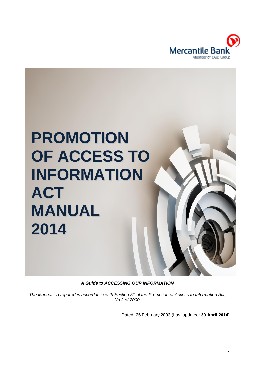

# **PROMOTION OF ACCESS TO INFORMATION ACT MANUAL 2014**

*A Guide to ACCESSING OUR INFORMATION*

*The Manual is prepared in accordance with Section 51 of the Promotion of Access to Information Act, No.2 of 2000.*

Dated: 26 February 2003 (Last updated: **30 April 2014**)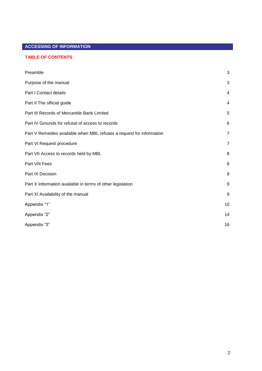# **ACCESSING OF INFORMATION**

# **TABLE OF CONTENTS**

| Preamble                                                             | $\mathbf{3}$ |
|----------------------------------------------------------------------|--------------|
| Purpose of the manual                                                | 3            |
| Part I Contact details                                               | 4            |
| Part II The official guide                                           | 4            |
| Part III Records of Mercantile Bank Limited                          | 5            |
| Part IV Grounds for refusal of access to records                     | 6            |
| Part V Remedies available when MBL refuses a request for information | 7            |
| Part VI Request procedure                                            | 7            |
| Part VII Access to records held by MBL                               | 8            |
| Part VIII Fees                                                       | 8            |
| Part IX Decision                                                     | 9            |
| Part X Information available in terms of other legislation           | 9            |
| Part XI Availability of the manual                                   | 9            |
| Appendix "1"                                                         | 10           |
| Appendix "2"                                                         | 14           |
| Appendix "3"                                                         | 16           |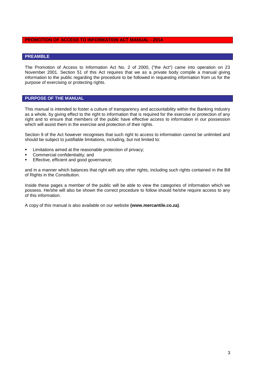#### **PROMOTION OF ACCESS TO INFORMATION ACT MANUAL - 2014**

# **PREAMBLE**

The Promotion of Access to Information Act No. 2 of 2000, ("the Act") came into operation on 23 November 2001. Section 51 of this Act requires that we as a private body compile a manual giving information to the public regarding the procedure to be followed in requesting information from us for the purpose of exercising or protecting rights.

### **PURPOSE OF THE MANUAL**

This manual is intended to foster a culture of transparency and accountability within the Banking Industry as a whole, by giving effect to the right to information that is required for the exercise or protection of any right and to ensure that members of the public have effective access to information in our possession which will assist them in the exercise and protection of their rights.

Section 9 of the Act however recognises that such right to access to information cannot be unlimited and should be subject to justifiable limitations, including, but not limited to:

- Limitations aimed at the reasonable protection of privacy;
- Commercial confidentiality; and
- **Effective, efficient and good governance;**

and in a manner which balances that right with any other rights, including such rights contained in the Bill of Rights in the Constitution.

Inside these pages a member of the public will be able to view the categories of information which we possess. He/she will also be shown the correct procedure to follow should he/she require access to any of this information.

A copy of this manual is also available on our website **[\(www.mercantile.co.za\)](http://www.mercantile.co.za)/)**.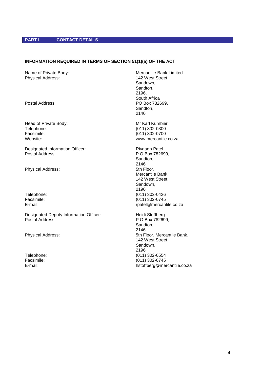# **PART I CONTACT DETAILS**

# **INFORMATION REQUIRED IN TERMS OF SECTION 51(1)(a) OF THE ACT**

Physical Address: 142 West Street,

Head of Private Body:<br>
Telephone: (011) 302-0300 Telephone: (011) 302-0300<br>
Facsimile: (011) 302-0700 Website: [www.mercantile.co.za](http://www.mercantile.co.za/)

Designated Information Officer:<br>Postal Address: Rivan Patel Postal Address:<br>Rivan P O Box 7826

Physical Address: 5th Floor,

Designated Deputy Information Officer: Heidi Stoffberg<br>Postal Address: P O Box 78269

Name of Private Body: Name of Private Body: Sandown, Sandton, 2196, South Africa Postal Address: Postal Address: PO Box 782699, Sandton, 2146

 $(011)$  302-0700

P O Box 782699. Sandton, 2146 Mercantile Bank, 142 West Street, Sandown, 2196 Telephone: (011) 302-0426 Facsimile: (011) 302-0745<br>E-mail: (011) 202-0745 rpatel@mercantile.co.za

P O Box 782699, Sandton, 2146 Physical Address: The Physical Address: 5th Floor, Mercantile Bank, 142 West Street, Sandown, 2196 Telephone: (011) 302-0554 Facsimile: (011) 302-0745<br>E-mail: the state of the state of the state of the state of the state of the state of the state of the state o hstoffberg@mercantile.co.za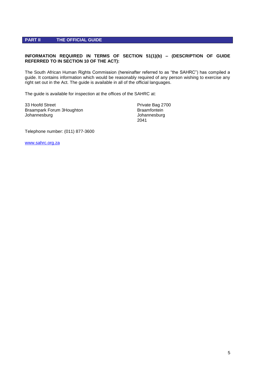### **PART II THE OFFICIAL GUIDE**

# **INFORMATION REQUIRED IN TERMS OF SECTION 51(1)(b) – (DESCRIPTION OF GUIDE REFERRED TO IN SECTION 10 OF THE ACT):**

The South African Human Rights Commission (hereinafter referred to as "the SAHRC") has compiled a guide. It contains information which would be reasonably required of any person wishing to exercise any right set out in the Act. The guide is available in all of the official languages.

The guide is available for inspection at the offices of the SAHRC at:

33 Hoofd Street **Private Bag 2700** Braampark Forum 3Houghton Braamfontein Johannesburg Johannesburg

2041

Telephone number: (011) 877-3600

[www.sahrc.org.za](http://www.sahrc.org.za/sahrc_cms/publish/cat_index_40.shtml)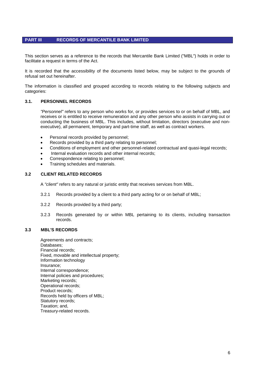# **PART III RECORDS OF MERCANTILE BANK LIMITED**

This section serves as a reference to the records that Mercantile Bank Limited ("MBL") holds in order to facilitate a request in terms of the Act.

It is recorded that the accessibility of the documents listed below, may be subject to the grounds of refusal set out hereinafter.

The information is classified and grouped according to records relating to the following subjects and categories:

#### **3.1. PERSONNEL RECORDS**

*"Personnel"* refers to any person who works for, or provides services to or on behalf of MBL, and receives or is entitled to receive remuneration and any other person who assists in carrying out or conducting the business of MBL. This includes, without limitation, directors (executive and nonexecutive), all permanent, temporary and part-time staff, as well as contract workers.

- Personal records provided by personnel;
- Records provided by a third party relating to personnel;
- Conditions of employment and other personnel-related contractual and quasi-legal records;
- Internal evaluation records and other internal records;
- Correspondence relating to personnel;
- Training schedules and materials.

#### **3.2 CLIENT RELATED RECORDS**

A *"client"* refers to any natural or juristic entity that receives services from MBL.

- 3.2.1 Records provided by a client to a third party acting for or on behalf of MBL;
- 3.2.2 Records provided by a third party;
- 3.2.3 Records generated by or within MBL pertaining to its clients, including transaction records.

#### **3.3 MBL'S RECORDS**

Agreements and contracts; Databases; Financial records; Fixed, movable and intellectual property; Information technology Insurance; Internal correspondence; Internal policies and procedures; Marketing records; Operational records; Product records; Records held by officers of MBL; Statutory records; Taxation; and, Treasury-related records.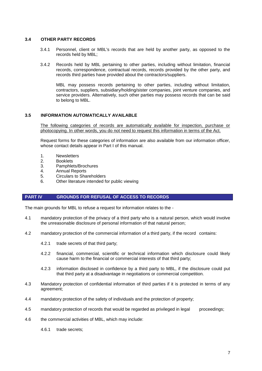#### **3.4 OTHER PARTY RECORDS**

- 3.4.1 Personnel, client or MBL's records that are held by another party, as opposed to the records held by MBL;
- 3.4.2 Records held by MBL pertaining to other parties, including without limitation, financial records, correspondence, contractual records, records provided by the other party, and records third parties have provided about the contractors/suppliers.

MBL may possess records pertaining to other parties, including without limitation, contractors, suppliers, subsidiary/holding/sister companies, joint venture companies, and service providers. Alternatively, such other parties may possess records that can be said to belong to MBL.

#### **3.5 INFORMATION AUTOMATICALLY AVAILABLE**

The following categories of records are automatically available for inspection, purchase or photocopying. In other words, you do not need to request this information in terms of the Act.

Request forms for these categories of information are also available from our information officer, whose contact details appear in Part I of this manual.

- 1. Newsletters
- 2. Booklets
- 3. Pamphlets/Brochures
- 4. Annual Reports
- 5. Circulars to Shareholders
- 6. Other literature intended for public viewing

#### **PART IV GROUNDS FOR REFUSAL OF ACCESS TO RECORDS**

The main grounds for MBL to refuse a request for information relates to the -

- 4.1 mandatory protection of the privacy of a third party who is a natural person, which would involve the unreasonable disclosure of personal information of that natural person;
- 4.2 mandatory protection of the commercial information of a third party, if the record contains:
	- 4.2.1 trade secrets of that third party;
	- 4.2.2 financial, commercial, scientific or technical information which disclosure could likely cause harm to the financial or commercial interests of that third party;
	- 4.2.3 information disclosed in confidence by a third party to MBL, if the disclosure could put that third party at a disadvantage in negotiations or commercial competition.
- 4.3 Mandatory protection of confidential information of third parties if it is protected in terms of any agreement;
- 4.4 mandatory protection of the safety of individuals and the protection of property;
- 4.5 mandatory protection of records that would be regarded as privileged in legal proceedings;
- 4.6 the commercial activities of MBL, which may include:

4.6.1 trade secrets;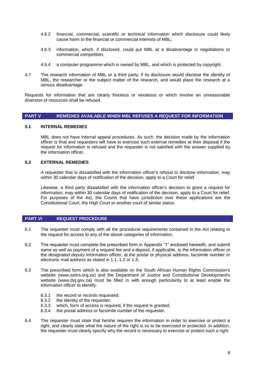- 4.6.2 financial, commercial, scientific or technical information which disclosure could likely cause harm to the financial or commercial interests of MBL;
- 4.6.3 information, which, if disclosed, could put MBL at a disadvantage in negotiations or commercial competition;
- 4.6.4 a computer programme which is owned by MBL, and which is protected by copyright.
- 4.7 The research information of MBL or a third party, if its disclosure would disclose the identity of MBL, the researcher or the subject matter of the research, and would place the research at a serious disadvantage.

Requests for information that are clearly frivolous or vexatious or which involve an unreasonable diversion of resources shall be refused.

# **PART V REMEDIES AVAILABLE WHEN MBL REFUSES A REQUEST FOR INFORMATION**

#### **5.1 INTERNAL REMEDIES**

MBL does not have internal appeal procedures. As such, the decision made by the information officer is final and requesters will have to exercise such external remedies at their disposal if the request for information is refused and the requester is not satisfied with the answer supplied by the information officer.

#### **5.2 EXTERNAL REMEDIES**

A requester that is dissatisfied with the information officer's refusal to disclose information, may within 30 calendar days of notification of the decision, apply to a Court for relief.

Likewise, a third party dissatisfied with the information officer's decision to grant a request for information, may within 30 calendar days of notification of the decision, apply to a Court for relief. For purposes of the Act, the Courts that have jurisdiction over these applications are the Constitutional Court, the High Court or another court of similar status.

#### **PART VI REQUEST PROCEDURE**

- 6.1 The requester must comply with all the procedural requirements contained in the Act relating to the request for access to any of the above categories of information.
- 6.2 The requester must complete the prescribed form in Appendix "1" enclosed herewith, and submit same as well as payment of a request fee and a deposit, if applicable, to the information officer or the designated deputy information officer, at the postal or physical address, facsimile number or electronic mail address as stated in 1.1, 1.2 or 1.3;
- 6.3 The prescribed form which is also available on the South African Human Rights Commission's website [\(www.sahrs.org.za\)](http://www.sahrs.org.za/) and the Department of Justice and Constitutional Development's website [\(www.doj.gov.za\)](http://www.doj.org.za/) must be filled in with enough particularity to at least enable the information officer to identify:
	- 6.3.1 the record or records requested;
	- 6.3.2 the identity of the requester;
	- 6.3.3 which, form of access is required, if the request is granted;
	- 6.3.4 the postal address or facsimile number of the requester.
- 6.4 The requester must state that he/she requires the information in order to exercise or protect a right, and clearly state what the nature of the right is so to be exercised or protected. In addition, the requester must clearly specify why the record is necessary to exercise or protect such a right.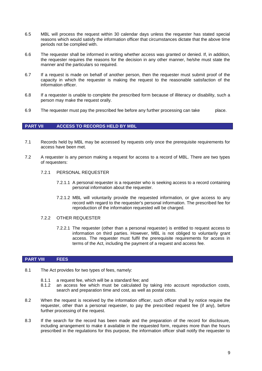- 6.5 MBL will process the request within 30 calendar days unless the requester has stated special reasons which would satisfy the information officer that circumstances dictate that the above time periods not be complied with.
- 6.6 The requester shall be informed in writing whether access was granted or denied. If, in addition, the requester requires the reasons for the decision in any other manner, he/she must state the manner and the particulars so required.
- 6.7 If a request is made on behalf of another person, then the requester must submit proof of the capacity in which the requester is making the request to the reasonable satisfaction of the information officer.
- 6.8 If a requester is unable to complete the prescribed form because of illiteracy or disability, such a person may make the request orally.
- 6.9 The requester must pay the prescribed fee before any further processing can take place.

#### **PART VII ACCESS TO RECORDS HELD BY MBL**

- 7.1 Records held by MBL may be accessed by requests only once the prerequisite requirements for access have been met.
- 7.2 A requester is any person making a request for access to a record of MBL. There are two types of requesters:
	- 7.2.1 PERSONAL REQUESTER
		- 7.2.1.1 A personal requester is a requester who is seeking access to a record containing personal information about the requester.
		- 7.2.1.2 MBL will voluntarily provide the requested information, or give access to any record with regard to the requester's personal information. The prescribed fee for reproduction of the information requested will be charged.
	- 7.2.2 OTHER REQUESTER
		- 7.2.2.1 The requester (other than a personal requester) is entitled to request access to information on third parties. However, MBL is not obliged to voluntarily grant access. The requester must fulfil the prerequisite requirements for access in terms of the Act, including the payment of a request and access fee.

# **PART VIII FEES**

- 8.1 The Act provides for two types of fees, namely:
	- 8.1.1 a request fee, which will be a standard fee; and
	- 8.1.2 an access fee which must be calculated by taking into account reproduction costs, search and preparation time and cost, as well as postal costs.
- 8.2 When the request is received by the information officer, such officer shall by notice require the requester, other than a personal requester, to pay the prescribed request fee (if any), before further processing of the request.
- 8.3 If the search for the record has been made and the preparation of the record for disclosure, including arrangement to make it available in the requested form, requires more than the hours prescribed in the regulations for this purpose, the information officer shall notify the requester to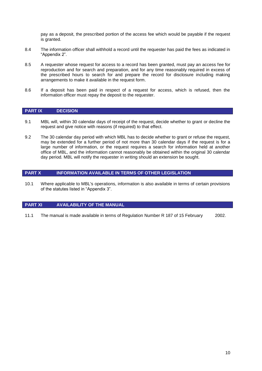pay as a deposit, the prescribed portion of the access fee which would be payable if the request is granted.

- 8.4 The information officer shall withhold a record until the requester has paid the fees as indicated in "Appendix 2".
- 8.5 A requester whose request for access to a record has been granted, must pay an access fee for reproduction and for search and preparation, and for any time reasonably required in excess of the prescribed hours to search for and prepare the record for disclosure including making arrangements to make it available in the request form.
- 8.6 If a deposit has been paid in respect of a request for access, which is refused, then the information officer must repay the deposit to the requester.

#### **PART IX DECISION**

- 9.1 MBL will, within 30 calendar days of receipt of the request, decide whether to grant or decline the request and give notice with reasons (if required) to that effect.
- 9.2 The 30 calendar day period with which MBL has to decide whether to grant or refuse the request, may be extended for a further period of not more than 30 calendar days if the request is for a large number of information, or the request requires a search for information held at another office of MBL, and the information cannot reasonably be obtained within the original 30 calendar day period. MBL will notify the requester in writing should an extension be sought.

#### **PART X INFORMATION AVAILABLE IN TERMS OF OTHER LEGISLATION**

10.1 Where applicable to MBL's operations, information is also available in terms of certain provisions of the statutes listed in "Appendix 3".

# **PART XI AVAILABILITY OF THE MANUAL**

11.1 The manual is made available in terms of Regulation Number R 187 of 15 February 2002.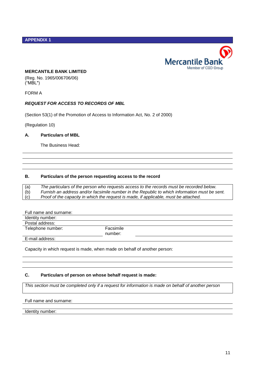### **APPENDIX 1**



#### **MERCANTILE BANK LIMITED**

(Reg. No. 1965/006706/06) ("MBL")

FORM A

# *REQUEST FOR ACCESS TO RECORDS OF MBL*

(Section 53(1) of the Promotion of Access to Information Act, No. 2 of 2000)

(Regulation 10)

#### **A. Particulars of MBL**

The Business Head:

#### **B. Particulars of the person requesting access to the record**

| (a) | The particulars of the person who requests access to the records must be recorded below.      |
|-----|-----------------------------------------------------------------------------------------------|
| (b) | Furnish an address and/or facsimile number in the Republic to which information must be sent. |
| (c) | Proof of the capacity in which the request is made, if applicable, must be attached.          |

| Full name and surname: |           |  |
|------------------------|-----------|--|
| Identity number:       |           |  |
| Postal address:        |           |  |
| Telephone number:      | Facsimile |  |
|                        | number:   |  |
| ________               |           |  |

E-mail address:

Capacity in which request is made, when made on behalf of another person:

# **C. Particulars of person on whose behalf request is made:**

*This section must be completed only if a request for information is made on behalf of another person*

#### Full name and surname:

Identity number: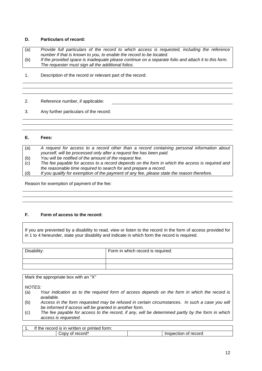# **D. Particulars of record:**

(a) *Provide full particulars of the record to which access is requested, including the reference number if that is known to you, to enable the record to be located.* (b) *If the provided space is inadequate please continue on a separate folio and attach it to this form. The requester must sign all the additional folios.*

1. Description of the record or relevant part of the record:

2. Reference number, if applicable:

3. Any further particulars of the record:

# **E. Fees:**

| (a) | A request for access to a record other than a record containing personal information about     |
|-----|------------------------------------------------------------------------------------------------|
|     | yourself, will be processed only after a request fee has been paid.                            |
| (b) | You will be notified of the amount of the request fee.                                         |
| (c) | The fee payable for access to a record depends on the form in which the access is required and |
|     | the reasonable time required to search for and prepare a record.                               |
| (d) | If you qualify for exemption of the payment of any fee, please state the reason therefore.     |

Reason for exemption of payment of the fee:

# **F. Form of access to the record:**

If you are prevented by a disability to read, view or listen to the record in the form of access provided for in 1 to 4 hereunder, state your disability and indicate in which form the record is required.

| Disability: | Form in which record is required: |
|-------------|-----------------------------------|
|             |                                   |
|             |                                   |

Mark the appropriate box with an "X" *NOTES:* (a) *Your indication as to the required form of access depends on the form in which the record is available.*

- (b) *Access in the form requested may be refused in certain circumstances. In such a case you will be informed if access will be granted in another form.*
- (c) *The fee payable for access to the record, if any, will be determined partly by the form in which access is requested.*

| $\mathbf{r}$<br><br>torm:<br>or printed<br>recoro<br>writter.<br>the<br>ın<br>ıs |                              |
|----------------------------------------------------------------------------------|------------------------------|
| record <sup>*</sup><br><b>∪ODV</b><br>ΩT                                         | record<br>Inspection<br>- OT |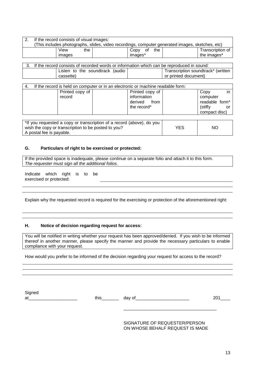| If the record consists of visual images:                                                        |     |         |     |                  |
|-------------------------------------------------------------------------------------------------|-----|---------|-----|------------------|
| (This includes photographs, slides, video recordings, computer generated images, sketches, etc) |     |         |     |                  |
| View                                                                                            | the | Copy of | the | Transcription of |
| images                                                                                          |     | images* |     | the images*      |
|                                                                                                 |     |         |     |                  |

|  | If the record consists of recorded words or information which can be reproduced in sound: |  |                                    |
|--|-------------------------------------------------------------------------------------------|--|------------------------------------|
|  | Listen to the soundtrack (audio                                                           |  | Transcription soundtrack* (written |
|  | cassette)                                                                                 |  | or printed document)               |

| 4. |                           | If the record is held on computer or in an electronic or machine readable form: |                                             |
|----|---------------------------|---------------------------------------------------------------------------------|---------------------------------------------|
|    | Printed copy of<br>record | Printed copy of                                                                 | Copy<br>in I                                |
|    |                           | information<br>derived from<br>the record*                                      | computer<br>readable form*<br>(stiffy<br>or |
|    |                           |                                                                                 | compact disc)                               |

\*If you requested a copy or transcription of a record (above), do you wish the copy or transcription to be posted to you? A postal fee is payable. YES | NO

# **G. Particulars of right to be exercised or protected:**

If the provided space is inadequate, please continue on a separate folio and attach it to this form. *The requester must sign all the additional folios.*

Indicate which right is to be exercised or protected:

Explain why the requested record is required for the exercising or protection of the aforementioned right:

# **H. Notice of decision regarding request for access:**

You will be notified in writing whether your request has been approved/denied. If you wish to be informed thereof in another manner, please specify the manner and provide the necessary particulars to enable compliance with your request.

How would you prefer to be informed of the decision regarding your request for access to the record?

**Signed** 

at this day of the control of the control of the control of the control of the control of the control of the co

SIGNATURE OF REQUESTER/PERSON ON WHOSE BEHALF REQUEST IS MADE

\_\_\_\_\_\_\_\_\_\_\_\_\_\_\_\_\_\_\_\_\_\_\_\_\_\_\_\_\_\_\_\_\_\_\_\_\_\_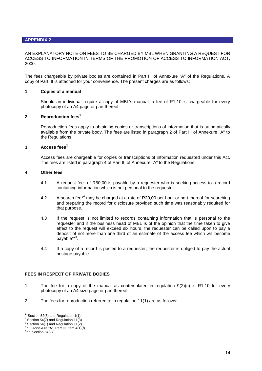#### **APPENDIX 2**

AN EXPLANATORY NOTE ON FEES TO BE CHARGED BY MBL WHEN GRANTING A REQUEST FOR ACCESS TO INFORMATION IN TERMS OF THE PROMOTION OF ACCESS TO INFORMATION ACT, 2000.

The fees chargeable by private bodies are contained in Part III of Annexure "A" of the Regulations. A copy of Part III is attached for your convenience. The present charges are as follows:

#### **1. Copies of a manual**

Should an individual require a copy of MBL's manual, a fee of R1,10 is chargeable for every photocopy of an A4 page or part thereof.

#### **2. Reproduction fees<sup>1</sup>**

Reproduction fees apply to obtaining copies or transcriptions of information that is automatically available from the private body. The fees are listed in paragraph 2 of Part III of Annexure "A" to the Regulations.

# **3. Access fees<sup>2</sup>**

Access fees are chargeable for copies or transcriptions of information requested under this Act. The fees are listed in paragraph 4 of Part III of Annexure "A" to the Regulations.

#### **4. Other fees**

- 4.1 A request fee<sup>3</sup> of R50,00 is payable by a requester who is seeking access to a record containing information which is not personal to the requester.
- 4.2 A search fee<sup>\*4</sup> may be charged at a rate of R30,00 per hour or part thereof for searching and preparing the record for disclosure provided such time was reasonably required for that purpose.
- 4.3 If the request is not limited to records containing information that is personal to the requester and if the business head of MBL is of the opinion that the time taken to give effect to the request will exceed six hours, the requester can be called upon to pay a deposit of not more than one third of an estimate of the access fee which will become payable\*\*<sup>5</sup>.
- 4.4 If a copy of a record is posted to a requester, the requester is obliged to pay the actual postage payable.

#### **FEES IN RESPECT OF PRIVATE BODIES**

- 1. The fee for a copy of the manual as contemplated in regulation 9(2)(c) is R1,10 for every photocopy of an A4 size page or part thereof.
- 2. The fees for reproduction referred to in regulation 11(1) are as follows:

<sup>-</sup>1 Section 52(3) and Regulation 1(1)

 $2$  Section 54(7) and Regulation 11(3)

Section 54(1) and Regulation 11(2)

<sup>4</sup> Annexure "A", Part III, Item 4(1)(f)

 $5**$  Section 54(2)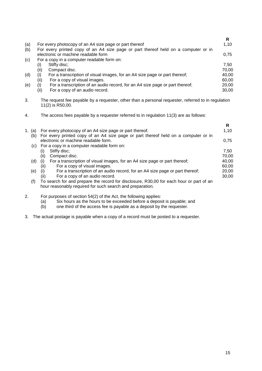|     |      |                                                                                    | R     |
|-----|------|------------------------------------------------------------------------------------|-------|
| (a) |      | For every photocopy of an A4 size page or part thereof                             | 1,10  |
| (b) |      | For every printed copy of an A4 size page or part thereof held on a computer or in |       |
|     |      | electronic or machine readable form                                                | 0,75  |
| (c) |      | For a copy in a computer readable form on:                                         |       |
|     | (i)  | Stiffy disc;                                                                       | 7.50  |
|     | (ii) | Compact disc.                                                                      | 70,00 |
| (d) | (i)  | For a transcription of visual images, for an A4 size page or part thereof;         | 40,00 |
|     | (ii) | For a copy of visual images.                                                       | 60,00 |
| (e) |      | For a transcription of an audio record, for an A4 size page or part thereof;       | 20,00 |
|     | (ii) | For a copy of an audio record.                                                     | 30,00 |
|     |      |                                                                                    |       |

- 3. The request fee payable by a requester, other than a personal requester, referred to in regulation 11(2) is R50,00.
- 4. The access fees payable by a requester referred to in regulation 11(3) are as follows:

|           |                                                                                                                                                      | R     |
|-----------|------------------------------------------------------------------------------------------------------------------------------------------------------|-------|
| 1. (a)    | For every photocopy of an A4 size page or part thereof.                                                                                              | 1,10  |
| (b)       | For every printed copy of an A4 size page or part thereof held on a computer or in                                                                   |       |
|           | electronic or machine readable form.                                                                                                                 | 0.75  |
|           | (c) For a copy in a computer readable form on:                                                                                                       |       |
|           | Stiffy disc;<br>$\left( i\right)$                                                                                                                    | 7.50  |
|           | (ii)<br>Compact disc.                                                                                                                                | 70,00 |
| $(d)$ (i) | For a transcription of visual images, for an A4 size page or part thereof;                                                                           | 40.00 |
|           | (ii)<br>For a copy of visual images.                                                                                                                 | 60,00 |
| (e)       | For a transcription of an audio record, for an A4 size page or part thereof;<br>(i)                                                                  | 20,00 |
|           | (ii)<br>For a copy of an audio record.                                                                                                               | 30,00 |
| (f)       | To search for and prepare the record for disclosure, R30,00 for each hour or part of an<br>hour reasonably required for such search and preparation. |       |
|           |                                                                                                                                                      |       |

- 2. For purposes of section 54(2) of the Act, the following applies:
	- (a) Six hours as the hours to be exceeded before a deposit is payable; and (b) one third of the access fee is payable as a deposit by the requester.
	- one third of the access fee is payable as a deposit by the requester.
- 3. The actual postage is payable when a copy of a record must be posted to a requester.